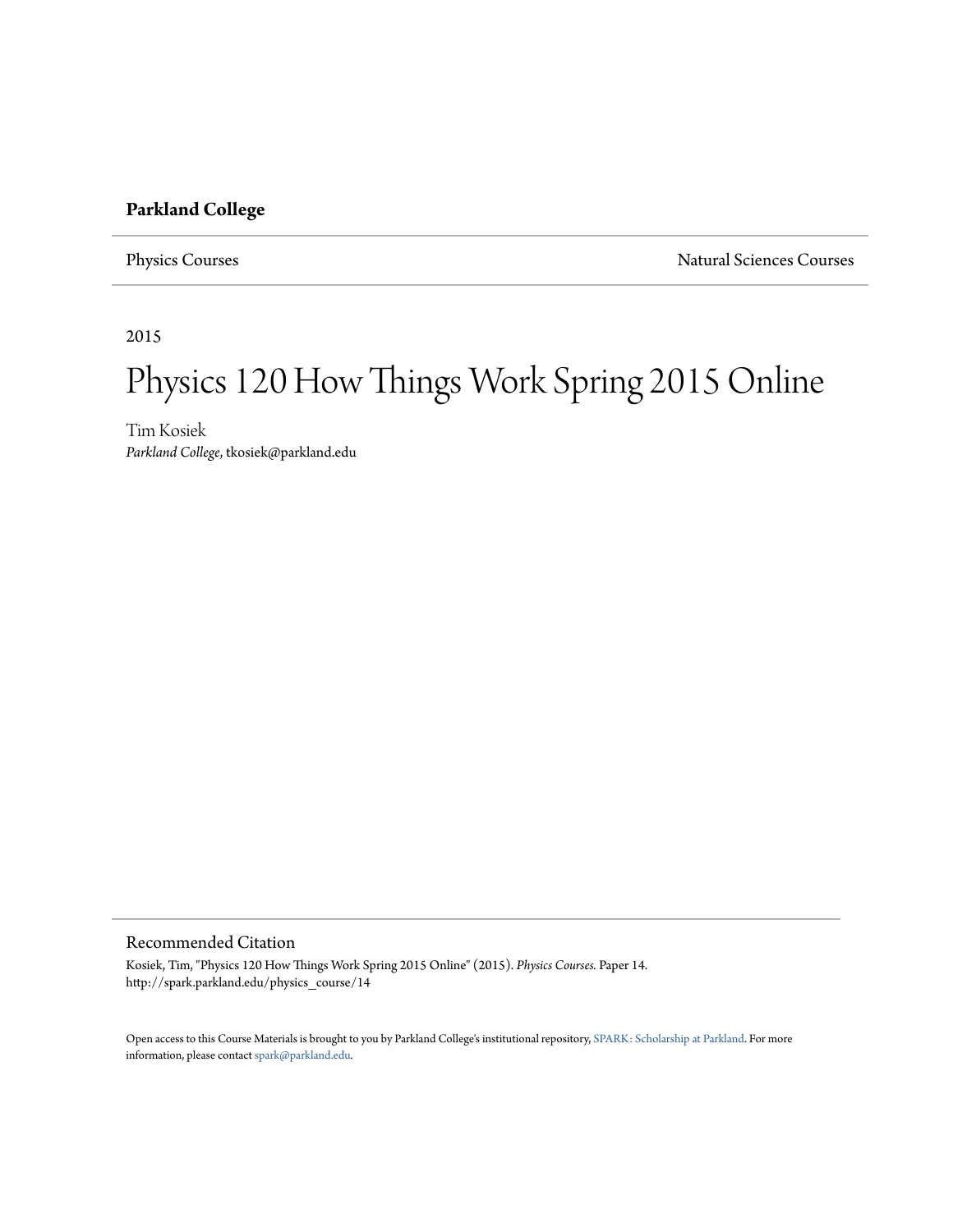# **Parkland College**

Physics Courses Natural Sciences Courses

2015

# Physics 120 How Things Work Spring 2015 Online

Tim Kosiek *Parkland College*, tkosiek@parkland.edu

#### Recommended Citation

Kosiek, Tim, "Physics 120 How Things Work Spring 2015 Online" (2015). *Physics Courses.* Paper 14. http://spark.parkland.edu/physics\_course/14

Open access to this Course Materials is brought to you by Parkland College's institutional repository, [SPARK: Scholarship at Parkland](http://spark.parkland.edu/). For more information, please contact [spark@parkland.edu](mailto:spark@parkland.edu).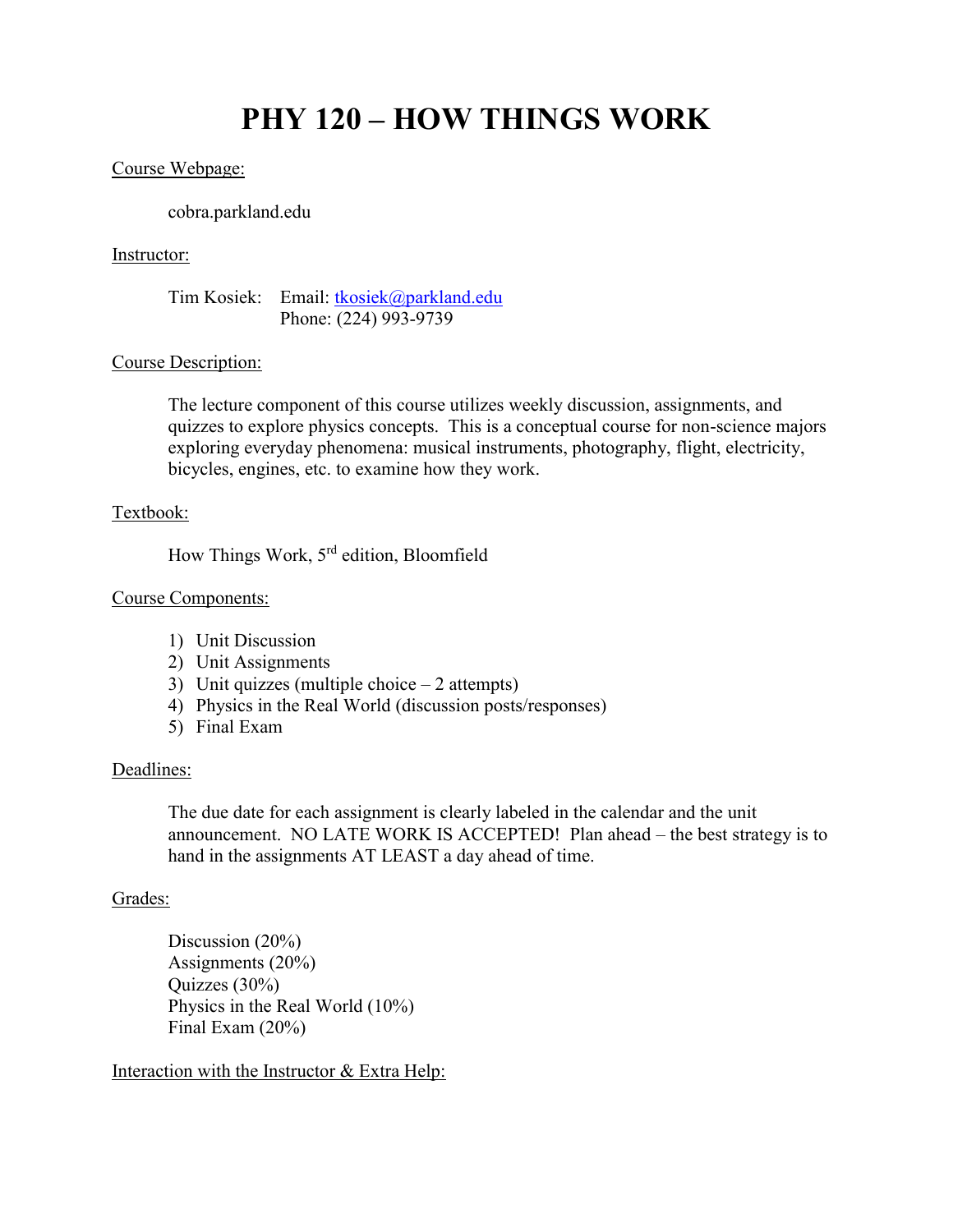# **PHY 120 – HOW THINGS WORK**

#### Course Webpage:

cobra.parkland.edu

#### Instructor:

Tim Kosiek: Email: [tkosiek@parkland.edu](mailto:tkosiek@parkland.edu) Phone: (224) 993-9739

#### Course Description:

The lecture component of this course utilizes weekly discussion, assignments, and quizzes to explore physics concepts. This is a conceptual course for non-science majors exploring everyday phenomena: musical instruments, photography, flight, electricity, bicycles, engines, etc. to examine how they work.

## Textbook:

How Things Work, 5rd edition, Bloomfield

#### Course Components:

- 1) Unit Discussion
- 2) Unit Assignments
- 3) Unit quizzes (multiple choice 2 attempts)
- 4) Physics in the Real World (discussion posts/responses)
- 5) Final Exam

#### Deadlines:

The due date for each assignment is clearly labeled in the calendar and the unit announcement. NO LATE WORK IS ACCEPTED! Plan ahead – the best strategy is to hand in the assignments AT LEAST a day ahead of time.

#### Grades:

Discussion (20%) Assignments (20%) Quizzes (30%) Physics in the Real World (10%) Final Exam (20%)

Interaction with the Instructor & Extra Help: